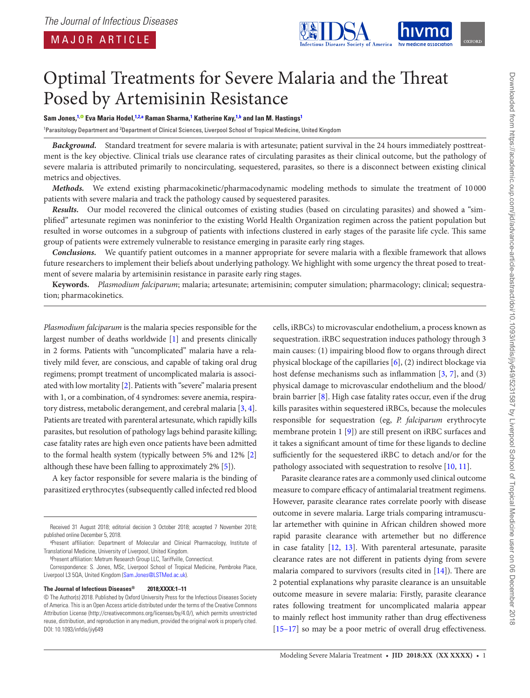

# Optimal Treatments for Severe Malaria and the Threat Posed by Artemisinin Resistance

**Sam Jones, [1](#page-0-0)[, E](http://orcid.org/0000-0001-5084-527X)va Maria Hodel, [1,](#page-0-0)[2](#page-0-1)[,a](#page-0-2) Raman Sharma, [1](#page-0-0) Katherine Kay, [1,](#page-0-0)[b](#page-0-3) and Ian M. Hastings[1](#page-0-0)**

<span id="page-0-1"></span><span id="page-0-0"></span><sup>1</sup>Parasitology Department and <sup>2</sup>Department of Clinical Sciences, Liverpool School of Tropical Medicine, United Kingdom

*Background.* Standard treatment for severe malaria is with artesunate; patient survival in the 24 hours immediately posttreatment is the key objective. Clinical trials use clearance rates of circulating parasites as their clinical outcome, but the pathology of severe malaria is attributed primarily to noncirculating, sequestered, parasites, so there is a disconnect between existing clinical metrics and objectives.

*Methods.* We extend existing pharmacokinetic/pharmacodynamic modeling methods to simulate the treatment of 10 000 patients with severe malaria and track the pathology caused by sequestered parasites.

*Results.* Our model recovered the clinical outcomes of existing studies (based on circulating parasites) and showed a "simplified" artesunate regimen was noninferior to the existing World Health Organization regimen across the patient population but resulted in worse outcomes in a subgroup of patients with infections clustered in early stages of the parasite life cycle. This same group of patients were extremely vulnerable to resistance emerging in parasite early ring stages.

*Conclusions.* We quantify patient outcomes in a manner appropriate for severe malaria with a flexible framework that allows future researchers to implement their beliefs about underlying pathology. We highlight with some urgency the threat posed to treatment of severe malaria by artemisinin resistance in parasite early ring stages.

**Keywords.** *Plasmodium falciparum*; malaria; artesunate; artemisinin; computer simulation; pharmacology; clinical; sequestration; pharmacokinetics.

*Plasmodium falciparum* is the malaria species responsible for the largest number of deaths worldwide [[1](#page-9-0)] and presents clinically in 2 forms. Patients with "uncomplicated" malaria have a relatively mild fever, are conscious, and capable of taking oral drug regimens; prompt treatment of uncomplicated malaria is associated with low mortality  $[2]$ . Patients with "severe" malaria present with 1, or a combination, of 4 syndromes: severe anemia, respiratory distress, metabolic derangement, and cerebral malaria [[3](#page-9-2), [4\]](#page-9-3). Patients are treated with parenteral artesunate, which rapidly kills parasites, but resolution of pathology lags behind parasite killing; case fatality rates are high even once patients have been admitted to the formal health system (typically between 5% and 12% [\[2\]](#page-9-1) although these have been falling to approximately 2% [\[5\]](#page-9-4)).

A key factor responsible for severe malaria is the binding of parasitized erythrocytes (subsequently called infected red blood

<span id="page-0-3"></span>b Present affiliation: Metrum Research Group LLC, Tariffville, Connecticut.

#### **The Journal of Infectious Diseases® 2018;XXXX:1–11**

cells, iRBCs) to microvascular endothelium, a process known as sequestration. iRBC sequestration induces pathology through 3 main causes: (1) impairing blood flow to organs through direct physical blockage of the capillaries [\[6\]](#page-9-5), (2) indirect blockage via host defense mechanisms such as inflammation [[3](#page-9-2), [7\]](#page-9-6), and (3) physical damage to microvascular endothelium and the blood/ brain barrier [[8\]](#page-9-7). High case fatality rates occur, even if the drug kills parasites within sequestered iRBCs, because the molecules responsible for sequestration (eg, *P. falciparum* erythrocyte membrane protein 1 [\[9\]](#page-9-8)) are still present on iRBC surfaces and it takes a significant amount of time for these ligands to decline sufficiently for the sequestered iRBC to detach and/or for the pathology associated with sequestration to resolve [[10,](#page-9-9) [11](#page-9-10)].

Parasite clearance rates are a commonly used clinical outcome measure to compare efficacy of antimalarial treatment regimens. However, parasite clearance rates correlate poorly with disease outcome in severe malaria. Large trials comparing intramuscular artemether with quinine in African children showed more rapid parasite clearance with artemether but no difference in case fatality [\[12](#page-9-11), [13](#page-9-12)]. With parenteral artesunate, parasite clearance rates are not different in patients dying from severe malaria compared to survivors (results cited in [\[14](#page-9-13)]). There are 2 potential explanations why parasite clearance is an unsuitable outcome measure in severe malaria: Firstly, parasite clearance rates following treatment for uncomplicated malaria appear to mainly reflect host immunity rather than drug effectiveness [\[15–17](#page-9-14)] so may be a poor metric of overall drug effectiveness.

Received 31 August 2018; editorial decision 3 October 2018; accepted 7 November 2018; published online December 5, 2018.

<span id="page-0-2"></span>aPresent affiliation: Department of Molecular and Clinical Pharmacology, Institute of Translational Medicine, University of Liverpool, United Kingdom.

Correspondence: S. Jones, MSc, Liverpool School of Tropical Medicine, Pembroke Place, Liverpool L3 5QA, United Kingdom ([Sam.Jones@LSTMed.ac.uk\)](mailto:Sam.Jones@LSTMed.ac.uk?subject=).

<sup>©</sup> The Author(s) 2018. Published by Oxford University Press for the Infectious Diseases Society of America. This is an Open Access article distributed under the terms of the Creative Commons Attribution License (http://creativecommons.org/licenses/by/4.0/), which permits unrestricted reuse, distribution, and reproduction in any medium, provided the original work is properly cited. DOI: 10.1093/infdis/jiy649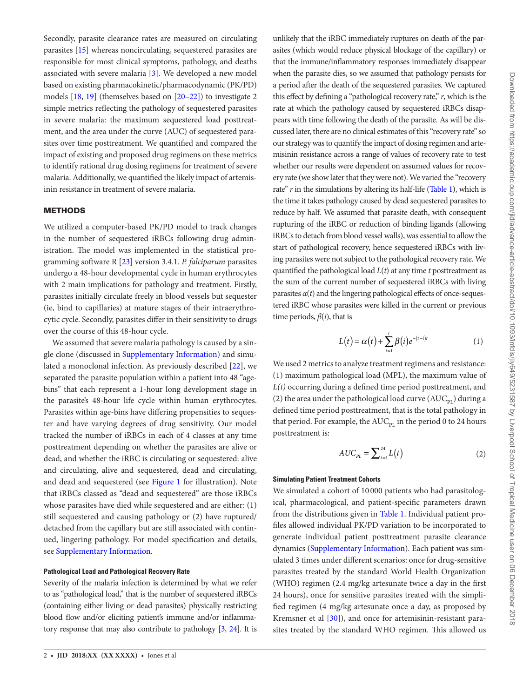Secondly, parasite clearance rates are measured on circulating parasites [\[15](#page-9-14)] whereas noncirculating, sequestered parasites are responsible for most clinical symptoms, pathology, and deaths associated with severe malaria [\[3](#page-9-2)]. We developed a new model based on existing pharmacokinetic/pharmacodynamic (PK/PD) models [\[18](#page-9-15), [19](#page-9-16)] (themselves based on [\[20–22](#page-9-17)]) to investigate 2 simple metrics reflecting the pathology of sequestered parasites in severe malaria: the maximum sequestered load posttreatment, and the area under the curve (AUC) of sequestered parasites over time posttreatment. We quantified and compared the impact of existing and proposed drug regimens on these metrics to identify rational drug dosing regimens for treatment of severe malaria. Additionally, we quantified the likely impact of artemisinin resistance in treatment of severe malaria.

## **METHODS**

We utilized a computer-based PK/PD model to track changes in the number of sequestered iRBCs following drug administration. The model was implemented in the statistical programming software R [[23\]](#page-10-0) version 3.4.1. *P. falciparum* parasites undergo a 48-hour developmental cycle in human erythrocytes with 2 main implications for pathology and treatment. Firstly, parasites initially circulate freely in blood vessels but sequester (ie, bind to capillaries) at mature stages of their intraerythrocytic cycle. Secondly, parasites differ in their sensitivity to drugs over the course of this 48-hour cycle.

We assumed that severe malaria pathology is caused by a sin-gle clone (discussed in [Supplementary Information\)](http://academic.oup.com/jid/article-lookup/doi/10.1093/infdis/jiy649#supplementary-data) and simulated a monoclonal infection. As previously described [\[22\]](#page-9-18), we separated the parasite population within a patient into 48 "agebins" that each represent a 1-hour long development stage in the parasite's 48-hour life cycle within human erythrocytes. Parasites within age-bins have differing propensities to sequester and have varying degrees of drug sensitivity. Our model tracked the number of iRBCs in each of 4 classes at any time posttreatment depending on whether the parasites are alive or dead, and whether the iRBC is circulating or sequestered: alive and circulating, alive and sequestered, dead and circulating, and dead and sequestered (see [Figure 1](#page-2-0) for illustration). Note that iRBCs classed as "dead and sequestered" are those iRBCs whose parasites have died while sequestered and are either: (1) still sequestered and causing pathology or (2) have ruptured/ detached from the capillary but are still associated with continued, lingering pathology. For model specification and details, see [Supplementary Information](http://academic.oup.com/jid/article-lookup/doi/10.1093/infdis/jiy649#supplementary-data).

#### **Pathological Load and Pathological Recovery Rate**

Severity of the malaria infection is determined by what we refer to as "pathological load," that is the number of sequestered iRBCs (containing either living or dead parasites) physically restricting blood flow and/or eliciting patient's immune and/or inflammatory response that may also contribute to pathology [[3](#page-9-2), [24\]](#page-10-1). It is

unlikely that the iRBC immediately ruptures on death of the parasites (which would reduce physical blockage of the capillary) or that the immune/inflammatory responses immediately disappear when the parasite dies, so we assumed that pathology persists for a period after the death of the sequestered parasites. We captured this effect by defining a "pathological recovery rate," *r*, which is the rate at which the pathology caused by sequestered iRBCs disappears with time following the death of the parasite. As will be discussed later, there are no clinical estimates of this "recovery rate" so our strategy was to quantify the impact of dosing regimen and artemisinin resistance across a range of values of recovery rate to test whether our results were dependent on assumed values for recovery rate (we show later that they were not). We varied the "recovery rate" *r* in the simulations by altering its half-life ([Table 1](#page-3-0)), which is the time it takes pathology caused by dead sequestered parasites to reduce by half. We assumed that parasite death, with consequent rupturing of the iRBC or reduction of binding ligands (allowing iRBCs to detach from blood vessel walls), was essential to allow the start of pathological recovery, hence sequestered iRBCs with living parasites were not subject to the pathological recovery rate. We quantified the pathological load *L*(*t*) at any time *t* posttreatment as the sum of the current number of sequestered iRBCs with living parasites *α*(*t*) and the lingering pathological effects of once-sequestered iRBC whose parasites were killed in the current or previous time periods, *β*(*i*), that is

$$
L(t) = \alpha(t) + \sum_{i=1}^{t} \beta(i) e^{-(t-i)r}
$$
 (1)

We used 2 metrics to analyze treatment regimens and resistance: (1) maximum pathological load (MPL), the maximum value of *L(t)* occurring during a defined time period posttreatment, and (2) the area under the pathological load curve  $(AUC_{\text{pr}})$  during a defined time period posttreatment, that is the total pathology in that period. For example, the  $AUC_{\text{PL}}$  in the period 0 to 24 hours posttreatment is:

$$
AUC_{PL} = \sum_{t=1}^{24} L(t)
$$
 (2)

## **Simulating Patient Treatment Cohorts**

We simulated a cohort of 10 000 patients who had parasitological, pharmacological, and patient-specific parameters drawn from the distributions given in [Table 1](#page-3-0). Individual patient profiles allowed individual PK/PD variation to be incorporated to generate individual patient posttreatment parasite clearance dynamics ([Supplementary Information](http://academic.oup.com/jid/article-lookup/doi/10.1093/infdis/jiy649#supplementary-data)). Each patient was simulated 3 times under different scenarios: once for drug-sensitive parasites treated by the standard World Health Organization (WHO) regimen (2.4 mg/kg artesunate twice a day in the first 24 hours), once for sensitive parasites treated with the simplified regimen (4 mg/kg artesunate once a day, as proposed by Kremsner et al [[30\]](#page-10-2)), and once for artemisinin-resistant parasites treated by the standard WHO regimen. This allowed us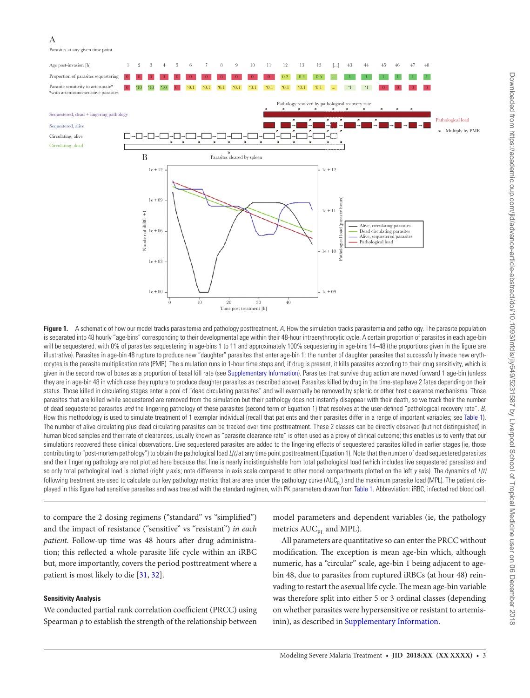# A

Parasites at any given time point



<span id="page-2-0"></span>**Figure 1.** A schematic of how our model tracks parasitemia and pathology posttreatment. A, How the simulation tracks parasitemia and pathology. The parasite population is separated into 48 hourly "age-bins" corresponding to their developmental age within their 48-hour intraerythrocytic cycle. A certain proportion of parasites in each age-bin will be sequestered, with 0% of parasites sequestering in age-bins 1 to 11 and approximately 100% sequestering in age-bins 14–48 (the proportions given in the figure are illustrative). Parasites in age-bin 48 rupture to produce new "daughter" parasites that enter age-bin 1; the number of daughter parasites that successfully invade new erythrocytes is the parasite multiplication rate (PMR). The simulation runs in 1-hour time steps and, if drug is present, it kills parasites according to their drug sensitivity, which is given in the second row of boxes as a proportion of basal kill rate (see [Supplementary Information](http://academic.oup.com/jid/article-lookup/doi/10.1093/infdis/jiy649#supplementary-data)). Parasites that survive drug action are moved forward 1 age-bin (unless they are in age-bin 48 in which case they rupture to produce daughter parasites as described above). Parasites killed by drug in the time-step have 2 fates depending on their status. Those killed in circulating stages enter a pool of "dead circulating parasites" and will eventually be removed by splenic or other host clearance mechanisms. Those parasites that are killed while sequestered are removed from the simulation but their pathology does not instantly disappear with their death, so we track their the number of dead sequestered parasites *and* the lingering pathology of these parasites (second term of Equation 1) that resolves at the user-defined "pathological recovery rate". *B,* How this methodology is used to simulate treatment of 1 exemplar individual (recall that patients and their parasites differ in a range of important variables; see [Table 1](#page-3-0)). The number of alive circulating plus dead circulating parasites can be tracked over time posttreatment. These 2 classes can be directly observed (but not distinguished) in human blood samples and their rate of clearances, usually known as "parasite clearance rate" is often used as a proxy of clinical outcome; this enables us to verify that our simulations recovered these clinical observations. Live sequestered parasites are added to the lingering effects of sequestered parasites killed in earlier stages (ie, those contributing to "post-mortem pathology") to obtain the pathological load *L(t)* at any time point posttreatment (Equation 1). Note that the number of dead sequestered parasites and their lingering pathology are not plotted here because that line is nearly indistinguishable from total pathological load (which includes live sequestered parasites) and so only total pathological load is plotted (right *y* axis; note difference in axis scale compared to other model compartments plotted on the left *y* axis). The dynamics of *L(t)* following treatment are used to calculate our key pathology metrics that are area under the pathology curve (AUC<sub>p1</sub>) and the maximum parasite load (MPL). The patient displayed in this figure had sensitive parasites and was treated with the standard regimen, with PK parameters drawn from [Table 1.](#page-3-0) Abbreviation: iRBC, infected red blood cell.

to compare the 2 dosing regimens ("standard" vs "simplified") and the impact of resistance ("sensitive" vs "resistant") *in each patient*. Follow-up time was 48 hours after drug administration; this reflected a whole parasite life cycle within an iRBC but, more importantly, covers the period posttreatment where a patient is most likely to die [\[31](#page-10-3), [32\]](#page-10-4).

#### **Sensitivity Analysis**

We conducted partial rank correlation coefficient (PRCC) using Spearman ρ to establish the strength of the relationship between

model parameters and dependent variables (ie, the pathology metrics  $AUC_{\text{pr}}$  and MPL).

All parameters are quantitative so can enter the PRCC without modification. The exception is mean age-bin which, although numeric, has a "circular" scale, age-bin 1 being adjacent to agebin 48, due to parasites from ruptured iRBCs (at hour 48) reinvading to restart the asexual life cycle. The mean age-bin variable was therefore split into either 5 or 3 ordinal classes (depending on whether parasites were hypersensitive or resistant to artemisinin), as described in [Supplementary Information.](http://academic.oup.com/jid/article-lookup/doi/10.1093/infdis/jiy649#supplementary-data)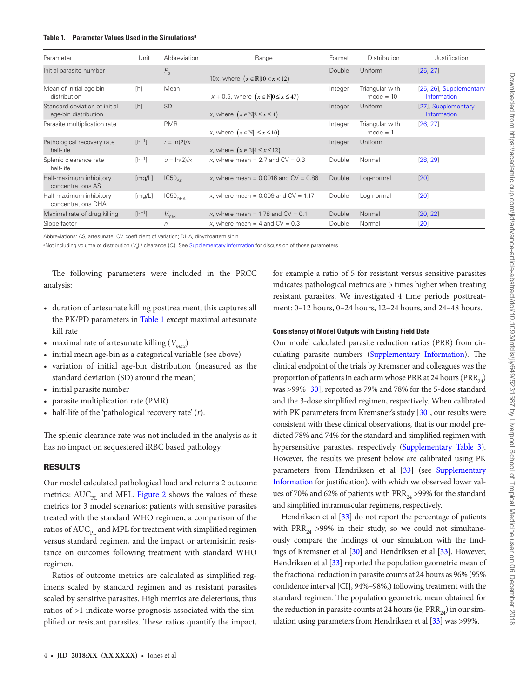## <span id="page-3-0"></span>**Table 1. Parameter Values Used in the Simulationsa**

| Parameter                                             | Unit       | Abbreviation        | Range                                                   | Format  | <b>Distribution</b>            | Justification                          |
|-------------------------------------------------------|------------|---------------------|---------------------------------------------------------|---------|--------------------------------|----------------------------------------|
| Initial parasite number                               |            | $P_0$               | 10x, where $(x \in \mathbb{R}   10 < x < 12)$           | Double  | Uniform                        | [25, 27]                               |
| Mean of initial age-bin<br>distribution               | [h]        | Mean                | $x + 0.5$ , where $(x \in \mathbb{N}   0 \le x \le 47)$ | Integer | Triangular with<br>$mode = 10$ | [25, 26], Supplementary<br>Information |
| Standard deviation of initial<br>age-bin distribution | [h]        | <b>SD</b>           | x, where $(x \in \mathbb{N}   2 \leq x \leq 4)$         | Integer | Uniform                        | [27], Supplementary<br>Information     |
| Parasite multiplication rate                          |            | <b>PMR</b>          | x, where $(x \in \mathbb{N}   1 \le x \le 10)$          | Integer | Triangular with<br>$mode = 1$  | [26, 27]                               |
| Pathological recovery rate<br>half-life               | $[h^{-1}]$ | $r = \ln(2)/x$      | x, where $(x \in \mathbb{N}   4 \le x \le 12)$          | Integer | Uniform                        |                                        |
| Splenic clearance rate<br>half-life                   | $[h^{-1}]$ | $u = \ln(2)/x$      | x, where mean = $2.7$ and $CV = 0.3$                    | Double  | Normal                         | [28, 29]                               |
| Half-maximum inhibitory<br>concentrations AS          | [mg/L]     | $IC50_{AG}$         | x, where mean = $0.0016$ and $CV = 0.86$                | Double  | Log-normal                     | [20]                                   |
| Half-maximum inhibitory<br>concentrations DHA         | [mg/L]     | IC50 <sub>DHA</sub> | x, where mean = $0.009$ and CV = 1.17                   | Double  | Log-normal                     | [20]                                   |
| Maximal rate of drug killing                          | $[h^{-1}]$ | $V_{\text{max}}$    | x, where mean = 1.78 and $CV = 0.1$                     | Double  | Normal                         | [20, 22]                               |
| Slope factor                                          |            | $\sqrt{n}$          | x, where mean = 4 and $CV = 0.3$                        | Double  | Normal                         | [20]                                   |

Abbreviations: AS, artesunate; CV, coefficient of variation; DHA, dihydroartemisinin.

<sup>a</sup>Not including volume of distribution (V<sub>a</sub>) / clearance (C<sub>l</sub>). See [Supplementary information](http://academic.oup.com/jid/article-lookup/doi/10.1093/infdis/jiy649#supplementary-data) for discussion of those parameters.

The following parameters were included in the PRCC analysis:

- duration of artesunate killing posttreatment; this captures all the PK/PD parameters in [Table 1](#page-3-0) except maximal artesunate kill rate
- maximal rate of artesunate killing  $(V_{max})$
- initial mean age-bin as a categorical variable (see above)
- variation of initial age-bin distribution (measured as the standard deviation (SD) around the mean)
- initial parasite number
- parasite multiplication rate (PMR)
- half-life of the 'pathological recovery rate' (*r*).

The splenic clearance rate was not included in the analysis as it has no impact on sequestered iRBC based pathology.

# RESULTS

Our model calculated pathological load and returns 2 outcome metrics:  $AUC_{\text{pr}}$  and MPL. [Figure 2](#page-4-0) shows the values of these metrics for 3 model scenarios: patients with sensitive parasites treated with the standard WHO regimen, a comparison of the ratios of  $\text{AUC}_{\text{pr}}$  and MPL for treatment with simplified regimen versus standard regimen, and the impact or artemisinin resistance on outcomes following treatment with standard WHO regimen.

Ratios of outcome metrics are calculated as simplified regimens scaled by standard regimen and as resistant parasites scaled by sensitive parasites. High metrics are deleterious, thus ratios of >1 indicate worse prognosis associated with the simplified or resistant parasites. These ratios quantify the impact,

for example a ratio of 5 for resistant versus sensitive parasites indicates pathological metrics are 5 times higher when treating resistant parasites. We investigated 4 time periods posttreatment: 0–12 hours, 0–24 hours, 12–24 hours, and 24–48 hours.

#### **Consistency of Model Outputs with Existing Field Data**

Our model calculated parasite reduction ratios (PRR) from circulating parasite numbers [\(Supplementary Information\)](http://academic.oup.com/jid/article-lookup/doi/10.1093/infdis/jiy649#supplementary-data). The clinical endpoint of the trials by Kremsner and colleagues was the proportion of patients in each arm whose PRR at 24 hours ( $PRR_{24}$ ) was >99% [\[30\]](#page-10-2), reported as 79% and 78% for the 5-dose standard and the 3-dose simplified regimen, respectively. When calibrated with PK parameters from Kremsner's study [\[30](#page-10-2)], our results were consistent with these clinical observations, that is our model predicted 78% and 74% for the standard and simplified regimen with hypersensitive parasites, respectively [\(Supplementary Table 3\)](http://academic.oup.com/jid/article-lookup/doi/10.1093/infdis/jiy649#supplementary-data). However, the results we present below are calibrated using PK parameters from Hendriksen et al [\[33\]](#page-10-5) (see [Supplementary](http://academic.oup.com/jid/article-lookup/doi/10.1093/infdis/jiy649#supplementary-data) [Information](http://academic.oup.com/jid/article-lookup/doi/10.1093/infdis/jiy649#supplementary-data) for justification), with which we observed lower values of 70% and 62% of patients with  $\text{PRR}_{24} > 99\%$  for the standard and simplified intramuscular regimens, respectively.

Hendriksen et al [[33\]](#page-10-5) do not report the percentage of patients with PRR<sub>24</sub> >99% in their study, so we could not simultaneously compare the findings of our simulation with the findings of Kremsner et al [[30](#page-10-2)] and Hendriksen et al [[33](#page-10-5)]. However, Hendriksen et al [\[33\]](#page-10-5) reported the population geometric mean of the fractional reduction in parasite counts at 24 hours as 96% (95% confidence interval [CI], 94%–98%,) following treatment with the standard regimen. The population geometric mean obtained for the reduction in parasite counts at 24 hours (ie,  $\text{PRR}_{24}$ ) in our sim-ulation using parameters from Hendriksen et al [[33\]](#page-10-5) was >99%.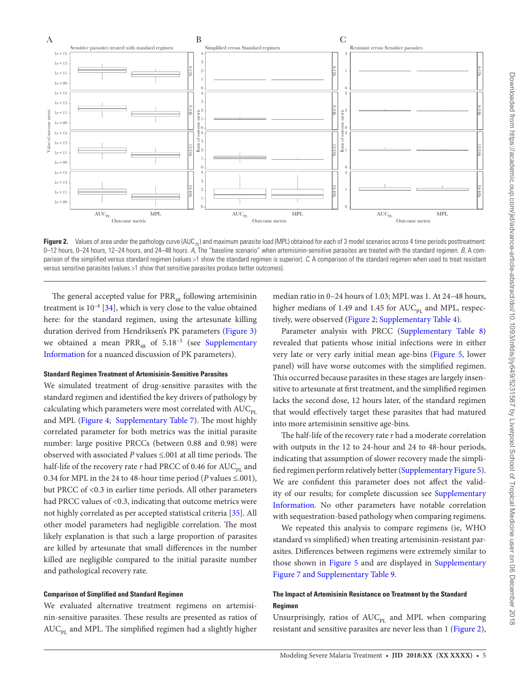

<span id="page-4-0"></span>Figure 2. Values of area under the pathology curve (AUC <sub>PI</sub>) and maximum parasite load (MPL) obtained for each of 3 model scenarios across 4 time periods posttreatment: 0–12 hours, 0–24 hours, 12–24 hours, and 24–48 hours. *A*, The "baseline scenario" when artemisinin-sensitive parasites are treated with the standard regimen. *B*, A comparison of the simplified versus standard regimen (values >1 show the standard regimen is superior). *C*, A comparison of the standard regimen when used to treat resistant versus sensitive parasites (values >1 show that sensitive parasites produce better outcomes).

The general accepted value for  $PRR_{48}$  following artemisinin treatment is  $10^{-4}$  [[34\]](#page-10-11), which is very close to the value obtained here: for the standard regimen, using the artesunate killing duration derived from Hendriksen's PK parameters ([Figure 3\)](#page-5-0) we obtained a mean  $\text{PRR}_{48}$  of 5.18<sup>-5</sup> (see Supplementary [Information f](http://academic.oup.com/jid/article-lookup/doi/10.1093/infdis/jiy649#supplementary-data)or a nuanced discussion of PK parameters).

#### **Standard Regimen Treatment of Artemisinin-Sensitive Parasites**

We simulated treatment of drug-sensitive parasites with the standard regimen and identified the key drivers of pathology by calculating which parameters were most correlated with AUC<sub>PI</sub> and MPL ([Figure 4](#page-6-0); [Supplementary Table 7\)](http://academic.oup.com/jid/article-lookup/doi/10.1093/infdis/jiy649#supplementary-data). The most highly correlated parameter for both metrics was the initial parasite number: large positive PRCCs (between 0.88 and 0.98) were observed with associated *P* values ≤.001 at all time periods. The half-life of the recovery rate  $r$  had PRCC of 0.46 for  $AUC_{\text{pr}}$  and 0.34 for MPL in the 24 to 48-hour time period ( $P$  values  $\leq$ .001), but PRCC of <0.3 in earlier time periods. All other parameters had PRCC values of <0.3, indicating that outcome metrics were not highly correlated as per accepted statistical criteria [[35](#page-10-12)]. All other model parameters had negligible correlation. The most likely explanation is that such a large proportion of parasites are killed by artesunate that small differences in the number killed are negligible compared to the initial parasite number and pathological recovery rate.

#### **Comparison of Simplified and Standard Regimen**

We evaluated alternative treatment regimens on artemisinin-sensitive parasites. These results are presented as ratios of  $AUC_{PL}$  and MPL. The simplified regimen had a slightly higher

median ratio in 0–24 hours of 1.03; MPL was 1. At 24–48 hours, higher medians of 1.49 and 1.45 for  $AUC_{pL}$  and MPL, respectively, were observed [\(Figure 2](#page-4-0); [Supplementary Table 4](http://academic.oup.com/jid/article-lookup/doi/10.1093/infdis/jiy649#supplementary-data)).

Parameter analysis with PRCC ([Supplementary Table 8\)](http://academic.oup.com/jid/article-lookup/doi/10.1093/infdis/jiy649#supplementary-data) revealed that patients whose initial infections were in either very late or very early initial mean age-bins ([Figure 5](#page-7-0), lower panel) will have worse outcomes with the simplified regimen. This occurred because parasites in these stages are largely insensitive to artesunate at first treatment, and the simplified regimen lacks the second dose, 12 hours later, of the standard regimen that would effectively target these parasites that had matured into more artemisinin sensitive age-bins.

The half-life of the recovery rate *r* had a moderate correlation with outputs in the 12 to 24-hour and 24 to 48-hour periods, indicating that assumption of slower recovery made the simpli-fied regimen perform relatively better [\(Supplementary Figure 5\)](http://academic.oup.com/jid/article-lookup/doi/10.1093/infdis/jiy649#supplementary-data). We are confident this parameter does not affect the validity of our results; for complete discussion see [Supplementary](http://academic.oup.com/jid/article-lookup/doi/10.1093/infdis/jiy649#supplementary-data) [Information](http://academic.oup.com/jid/article-lookup/doi/10.1093/infdis/jiy649#supplementary-data). No other parameters have notable correlation with sequestration-based pathology when comparing regimens.

We repeated this analysis to compare regimens (ie, WHO standard vs simplified) when treating artemisinin-resistant parasites. Differences between regimens were extremely similar to those shown in Figure 5 and are displayed in Supplementary [Figure 7 and Supplementary Table 9](http://academic.oup.com/jid/article-lookup/doi/10.1093/infdis/jiy649#supplementary-data).

# **The Impact of Artemisinin Resistance on Treatment by the Standard Regimen**

Unsurprisingly, ratios of  $AUC_{pL}$  and MPL when comparing resistant and sensitive parasites are never less than 1 [\(Figure 2\)](#page-4-0),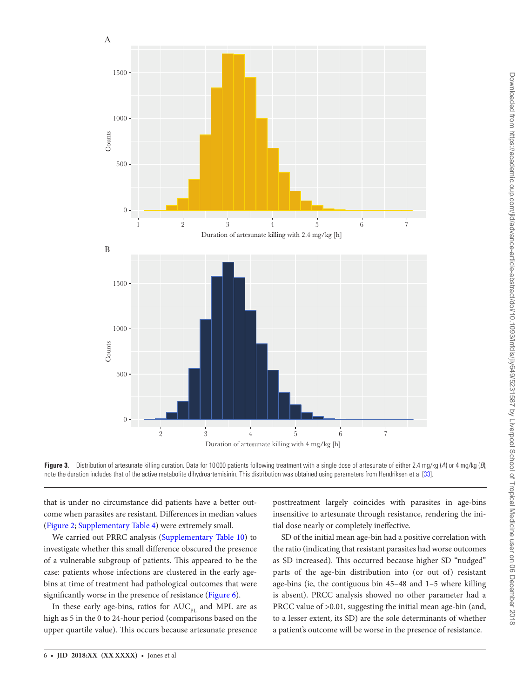

<span id="page-5-0"></span>

that is under no circumstance did patients have a better outcome when parasites are resistant. Differences in median values [\(Figure 2;](#page-4-0) [Supplementary Table 4\)](http://academic.oup.com/jid/article-lookup/doi/10.1093/infdis/jiy649#supplementary-data) were extremely small.

We carried out PRRC analysis [\(Supplementary Table 10](http://academic.oup.com/jid/article-lookup/doi/10.1093/infdis/jiy649#supplementary-data)) to investigate whether this small difference obscured the presence of a vulnerable subgroup of patients. This appeared to be the case: patients whose infections are clustered in the early agebins at time of treatment had pathological outcomes that were significantly worse in the presence of resistance [\(Figure 6\)](#page-8-0).

In these early age-bins, ratios for  $AUC_{PL}$  and MPL are as high as 5 in the 0 to 24-hour period (comparisons based on the upper quartile value). This occurs because artesunate presence

posttreatment largely coincides with parasites in age-bins insensitive to artesunate through resistance, rendering the initial dose nearly or completely ineffective.

SD of the initial mean age-bin had a positive correlation with the ratio (indicating that resistant parasites had worse outcomes as SD increased). This occurred because higher SD "nudged" parts of the age-bin distribution into (or out of) resistant age-bins (ie, the contiguous bin 45–48 and 1–5 where killing is absent). PRCC analysis showed no other parameter had a PRCC value of >0.01, suggesting the initial mean age-bin (and, to a lesser extent, its SD) are the sole determinants of whether a patient's outcome will be worse in the presence of resistance.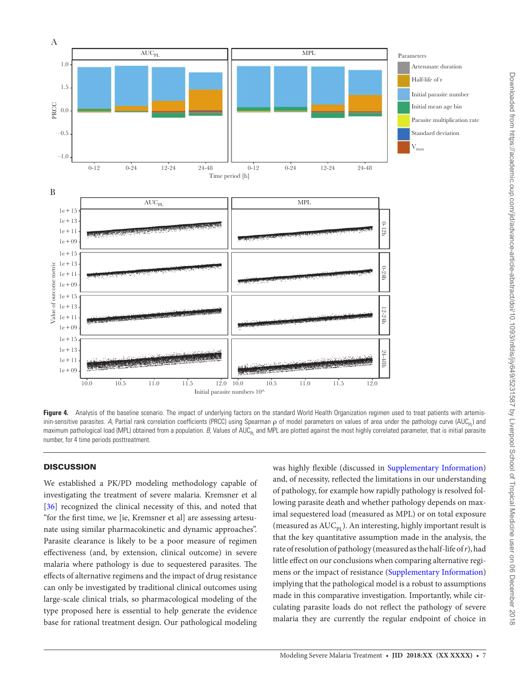

<span id="page-6-0"></span>**Figure 4.** Analysis of the baseline scenario. The impact of underlying factors on the standard World Health Organization regimen used to treat patients with artemisinin-sensitive parasites. A, Partial rank correlation coefficients (PRCC) using Spearman ρ of model parameters on values of area under the pathology curve (AUC<sub>PI</sub>) and maximum pathological load (MPL) obtained from a population. *B*, Values of AUC<sub>PI</sub> and MPL are plotted against the most highly correlated parameter, that is initial parasite number, for 4 time periods posttreatment.

## **DISCUSSION**

We established a PK/PD modeling methodology capable of investigating the treatment of severe malaria. Kremsner et al [\[36](#page-10-13)] recognized the clinical necessity of this, and noted that "for the first time, we [ie, Kremsner et al] are assessing artesunate using similar pharmacokinetic and dynamic approaches". Parasite clearance is likely to be a poor measure of regimen effectiveness (and, by extension, clinical outcome) in severe malaria where pathology is due to sequestered parasites. The effects of alternative regimens and the impact of drug resistance can only be investigated by traditional clinical outcomes using large-scale clinical trials, so pharmacological modeling of the type proposed here is essential to help generate the evidence base for rational treatment design. Our pathological modeling was highly flexible (discussed in [Supplementary Information\)](http://academic.oup.com/jid/article-lookup/doi/10.1093/infdis/jiy649#supplementary-data) and, of necessity, reflected the limitations in our understanding of pathology, for example how rapidly pathology is resolved following parasite death and whether pathology depends on maximal sequestered load (measured as MPL) or on total exposure (measured as  $AUC_{PI}$ ). An interesting, highly important result is that the key quantitative assumption made in the analysis, the rate of resolution of pathology (measured as the half-life of *r*), had little effect on our conclusions when comparing alternative regimens or the impact of resistance [\(Supplementary Information\)](http://academic.oup.com/jid/article-lookup/doi/10.1093/infdis/jiy649#supplementary-data) implying that the pathological model is a robust to assumptions made in this comparative investigation. Importantly, while circulating parasite loads do not reflect the pathology of severe malaria they are currently the regular endpoint of choice in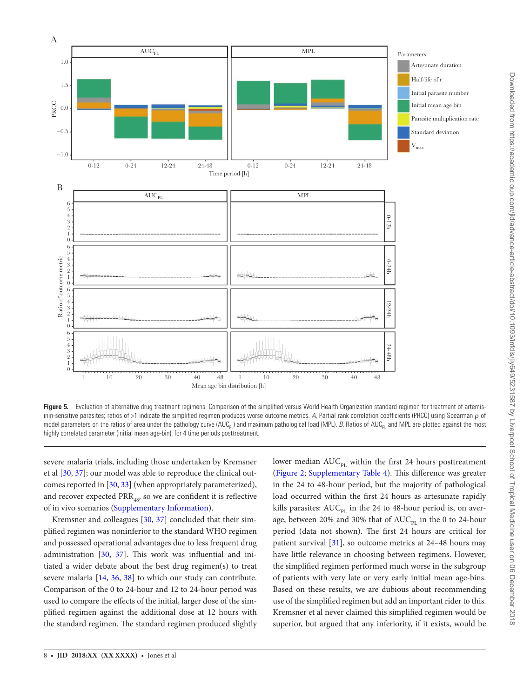

<span id="page-7-0"></span>Figure 5. Evaluation of alternative drug treatment regimens. Comparison of the simplified versus World Health Organization standard regimen for treatment of artemisinin-sensitive parasites; ratios of >1 indicate the simplified regimen produces worse outcome metrics. A, Partial rank correlation coefficients (PRCC) using Spearman ρ of model parameters on the ratios of area under the pathology curve (AUC<sub>PI</sub>) and maximum pathological load (MPL). *B*, Ratios of AUC<sub>PI</sub> and MPL are plotted against the most highly correlated parameter (initial mean age-bin), for 4 time periods posttreatment.

severe malaria trials, including those undertaken by Kremsner et al [\[30,](#page-10-2) [37](#page-10-14)]; our model was able to reproduce the clinical outcomes reported in [\[30](#page-10-2), [33\]](#page-10-5) (when appropriately parameterized), and recover expected  $\text{PRR}_{48}$ , so we are confident it is reflective of in vivo scenarios ([Supplementary Information\)](http://academic.oup.com/jid/article-lookup/doi/10.1093/infdis/jiy649#supplementary-data).

Kremsner and colleagues [[30](#page-10-2), [37](#page-10-14)] concluded that their simplified regimen was noninferior to the standard WHO regimen and possessed operational advantages due to less frequent drug administration [\[30,](#page-10-2) [37](#page-10-14)]. This work was influential and initiated a wider debate about the best drug regimen(s) to treat severe malaria [\[14](#page-9-13), [36,](#page-10-13) [38\]](#page-10-15) to which our study can contribute. Comparison of the 0 to 24-hour and 12 to 24-hour period was used to compare the effects of the initial, larger dose of the simplified regimen against the additional dose at 12 hours with the standard regimen. The standard regimen produced slightly lower median  $AUC_{PI}$  within the first 24 hours posttreatment [\(Figure 2](#page-4-0); [Supplementary Table 4](http://academic.oup.com/jid/article-lookup/doi/10.1093/infdis/jiy649#supplementary-data)). This difference was greater in the 24 to 48-hour period, but the majority of pathological load occurred within the first 24 hours as artesunate rapidly kills parasites:  $AUC_{\text{pr}}$  in the 24 to 48-hour period is, on average, between 20% and 30% that of  $AUC_{PL}$  in the 0 to 24-hour period (data not shown). The first 24 hours are critical for patient survival [[31](#page-10-3)], so outcome metrics at 24–48 hours may have little relevance in choosing between regimens. However, the simplified regimen performed much worse in the subgroup of patients with very late or very early initial mean age-bins. Based on these results, we are dubious about recommending use of the simplified regimen but add an important rider to this. Kremsner et al never claimed this simplified regimen would be superior, but argued that any inferiority, if it exists, would be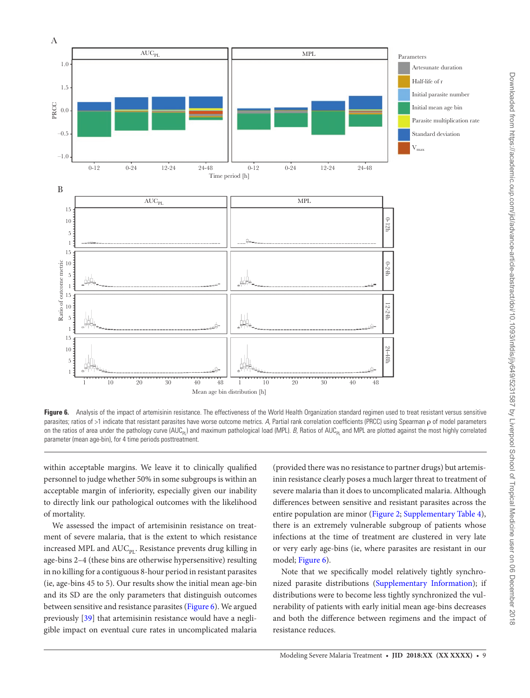

<span id="page-8-0"></span>Figure 6. Analysis of the impact of artemisinin resistance. The effectiveness of the World Health Organization standard regimen used to treat resistant versus sensitive parasites; ratios of >1 indicate that resistant parasites have worse outcome metrics. *A*, Partial rank correlation coefficients (PRCC) using Spearman ρ of model parameters on the ratios of area under the pathology curve (AUC<sub>pI</sub>) and maximum pathological load (MPL). *B*, Ratios of AUC<sub>pI</sub> and MPL are plotted against the most highly correlated parameter (mean age-bin), for 4 time periods posttreatment.

within acceptable margins. We leave it to clinically qualified personnel to judge whether 50% in some subgroups is within an acceptable margin of inferiority, especially given our inability to directly link our pathological outcomes with the likelihood of mortality.

We assessed the impact of artemisinin resistance on treatment of severe malaria, that is the extent to which resistance increased MPL and  $AUC_{\text{PL}}$ . Resistance prevents drug killing in age-bins 2–4 (these bins are otherwise hypersensitive) resulting in no killing for a contiguous 8-hour period in resistant parasites (ie, age-bins 45 to 5). Our results show the initial mean age-bin and its SD are the only parameters that distinguish outcomes between sensitive and resistance parasites ([Figure 6\)](#page-8-0). We argued previously [\[39](#page-10-16)] that artemisinin resistance would have a negligible impact on eventual cure rates in uncomplicated malaria

(provided there was no resistance to partner drugs) but artemisinin resistance clearly poses a much larger threat to treatment of severe malaria than it does to uncomplicated malaria. Although differences between sensitive and resistant parasites across the entire population are minor [\(Figure 2](#page-4-0); [Supplementary Table 4\)](http://academic.oup.com/jid/article-lookup/doi/10.1093/infdis/jiy649#supplementary-data), there is an extremely vulnerable subgroup of patients whose infections at the time of treatment are clustered in very late or very early age-bins (ie, where parasites are resistant in our model; [Figure 6\)](#page-8-0).

Note that we specifically model relatively tightly synchronized parasite distributions [\(Supplementary Information\)](http://academic.oup.com/jid/article-lookup/doi/10.1093/infdis/jiy649#supplementary-data); if distributions were to become less tightly synchronized the vulnerability of patients with early initial mean age-bins decreases and both the difference between regimens and the impact of resistance reduces.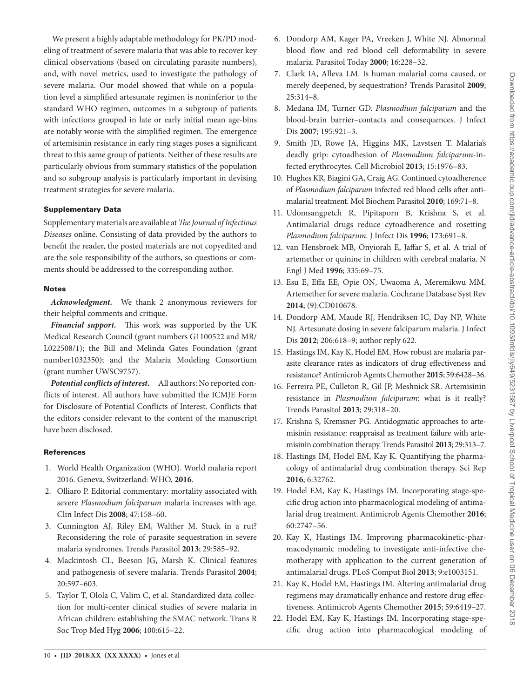We present a highly adaptable methodology for PK/PD modeling of treatment of severe malaria that was able to recover key clinical observations (based on circulating parasite numbers), and, with novel metrics, used to investigate the pathology of severe malaria. Our model showed that while on a population level a simplified artesunate regimen is noninferior to the standard WHO regimen, outcomes in a subgroup of patients with infections grouped in late or early initial mean age-bins are notably worse with the simplified regimen. The emergence of artemisinin resistance in early ring stages poses a significant threat to this same group of patients. Neither of these results are particularly obvious from summary statistics of the population and so subgroup analysis is particularly important in devising treatment strategies for severe malaria.

## Supplementary Data

Supplementary materials are available at *The Journal of Infectious Diseases* online. Consisting of data provided by the authors to benefit the reader, the posted materials are not copyedited and are the sole responsibility of the authors, so questions or comments should be addressed to the corresponding author.

### **Notes**

*Acknowledgment.* We thank 2 anonymous reviewers for their helpful comments and critique.

*Financial support.* This work was supported by the UK Medical Research Council (grant numbers G1100522 and MR/ L022508/1); the Bill and Melinda Gates Foundation (grant number1032350); and the Malaria Modeling Consortium (grant number UWSC9757).

*Potential conflicts of interest.* All authors: No reported conflicts of interest. All authors have submitted the ICMJE Form for Disclosure of Potential Conflicts of Interest. Conflicts that the editors consider relevant to the content of the manuscript have been disclosed.

# References

- <span id="page-9-0"></span>1. World Health Organization (WHO). World malaria report 2016. Geneva, Switzerland: WHO, **2016**.
- <span id="page-9-1"></span>2. Olliaro P. Editorial commentary: mortality associated with severe *Plasmodium falciparum* malaria increases with age. Clin Infect Dis **2008**; 47:158–60.
- <span id="page-9-2"></span>3. Cunnington AJ, Riley EM, Walther M. Stuck in a rut? Reconsidering the role of parasite sequestration in severe malaria syndromes. Trends Parasitol **2013**; 29:585–92.
- <span id="page-9-3"></span>4. Mackintosh CL, Beeson JG, Marsh K. Clinical features and pathogenesis of severe malaria. Trends Parasitol **2004**; 20:597–603.
- <span id="page-9-4"></span>5. Taylor T, Olola C, Valim C, et al. Standardized data collection for multi-center clinical studies of severe malaria in African children: establishing the SMAC network. Trans R Soc Trop Med Hyg **2006**; 100:615–22.
- <span id="page-9-5"></span>6. Dondorp AM, Kager PA, Vreeken J, White NJ. Abnormal blood flow and red blood cell deformability in severe malaria. Parasitol Today **2000**; 16:228–32.
- <span id="page-9-6"></span>7. Clark IA, Alleva LM. Is human malarial coma caused, or merely deepened, by sequestration? Trends Parasitol **2009**; 25:314–8.
- <span id="page-9-7"></span>8. Medana IM, Turner GD. *Plasmodium falciparum* and the blood-brain barrier–contacts and consequences. J Infect Dis **2007**; 195:921–3.
- <span id="page-9-8"></span>9. Smith JD, Rowe JA, Higgins MK, Lavstsen T. Malaria's deadly grip: cytoadhesion of *Plasmodium falciparum*-infected erythrocytes. Cell Microbiol **2013**; 15:1976–83.
- <span id="page-9-9"></span>10. Hughes KR, Biagini GA, Craig AG. Continued cytoadherence of *Plasmodium falciparum* infected red blood cells after antimalarial treatment. Mol Biochem Parasitol **2010**; 169:71–8.
- <span id="page-9-10"></span>11. Udomsangpetch R, Pipitaporn B, Krishna S, et al. Antimalarial drugs reduce cytoadherence and rosetting *Plasmodium falciparum*. J Infect Dis **1996**; 173:691–8.
- <span id="page-9-11"></span>12. van Hensbroek MB, Onyiorah E, Jaffar S, et al. A trial of artemether or quinine in children with cerebral malaria. N Engl J Med **1996**; 335:69–75.
- <span id="page-9-12"></span>13. Esu E, Effa EE, Opie ON, Uwaoma A, Meremikwu MM. Artemether for severe malaria. Cochrane Database Syst Rev **2014**; (9):CD010678.
- <span id="page-9-13"></span>14. Dondorp AM, Maude RJ, Hendriksen IC, Day NP, White NJ. Artesunate dosing in severe falciparum malaria. J Infect Dis **2012**; 206:618–9; author reply 622.
- <span id="page-9-14"></span>15. Hastings IM, Kay K, Hodel EM. How robust are malaria parasite clearance rates as indicators of drug effectiveness and resistance? Antimicrob Agents Chemother **2015**; 59:6428–36.
- 16. Ferreira PE, Culleton R, Gil JP, Meshnick SR. Artemisinin resistance in *Plasmodium falciparum*: what is it really? Trends Parasitol **2013**; 29:318–20.
- 17. Krishna S, Kremsner PG. Antidogmatic approaches to artemisinin resistance: reappraisal as treatment failure with artemisinin combination therapy. Trends Parasitol **2013**; 29:313–7.
- <span id="page-9-15"></span>18. Hastings IM, Hodel EM, Kay K. Quantifying the pharmacology of antimalarial drug combination therapy. Sci Rep **2016**; 6:32762.
- <span id="page-9-16"></span>19. Hodel EM, Kay K, Hastings IM. Incorporating stage-specific drug action into pharmacological modeling of antimalarial drug treatment. Antimicrob Agents Chemother **2016**; 60:2747–56.
- <span id="page-9-17"></span>20. Kay K, Hastings IM. Improving pharmacokinetic-pharmacodynamic modeling to investigate anti-infective chemotherapy with application to the current generation of antimalarial drugs. PLoS Comput Biol **2013**; 9:e1003151.
- 21. Kay K, Hodel EM, Hastings IM. Altering antimalarial drug regimens may dramatically enhance and restore drug effectiveness. Antimicrob Agents Chemother **2015**; 59:6419–27.
- <span id="page-9-18"></span>22. Hodel EM, Kay K, Hastings IM. Incorporating stage-specific drug action into pharmacological modeling of